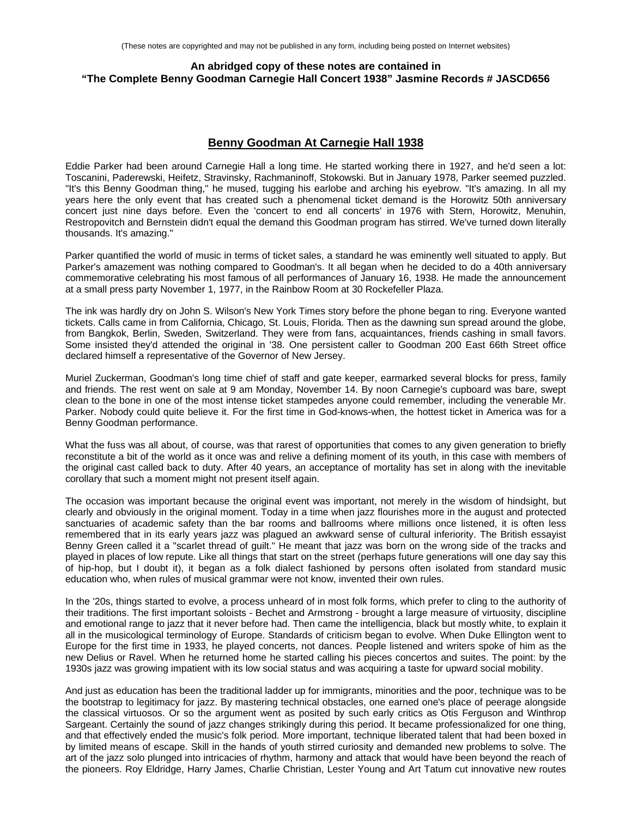# **An abridged copy of these notes are contained in "The Complete Benny Goodman Carnegie Hall Concert 1938" Jasmine Records # JASCD656**

## **Benny Goodman At Carnegie Hall 1938**

Eddie Parker had been around Carnegie Hall a long time. He started working there in 1927, and he'd seen a lot: Toscanini, Paderewski, Heifetz, Stravinsky, Rachmaninoff, Stokowski. But in January 1978, Parker seemed puzzled. "It's this Benny Goodman thing," he mused, tugging his earlobe and arching his eyebrow. "It's amazing. In all my years here the only event that has created such a phenomenal ticket demand is the Horowitz 50th anniversary concert just nine days before. Even the 'concert to end all concerts' in 1976 with Stern, Horowitz, Menuhin, Restropovitch and Bernstein didn't equal the demand this Goodman program has stirred. We've turned down literally thousands. It's amazing."

Parker quantified the world of music in terms of ticket sales, a standard he was eminently well situated to apply. But Parker's amazement was nothing compared to Goodman's. It all began when he decided to do a 40th anniversary commemorative celebrating his most famous of all performances of January 16, 1938. He made the announcement at a small press party November 1, 1977, in the Rainbow Room at 30 Rockefeller Plaza.

The ink was hardly dry on John S. Wilson's New York Times story before the phone began to ring. Everyone wanted tickets. Calls came in from California, Chicago, St. Louis, Florida. Then as the dawning sun spread around the globe, from Bangkok, Berlin, Sweden, Switzerland. They were from fans, acquaintances, friends cashing in small favors. Some insisted they'd attended the original in '38. One persistent caller to Goodman 200 East 66th Street office declared himself a representative of the Governor of New Jersey.

Muriel Zuckerman, Goodman's long time chief of staff and gate keeper, earmarked several blocks for press, family and friends. The rest went on sale at 9 am Monday, November 14. By noon Carnegie's cupboard was bare, swept clean to the bone in one of the most intense ticket stampedes anyone could remember, including the venerable Mr. Parker. Nobody could quite believe it. For the first time in God-knows-when, the hottest ticket in America was for a Benny Goodman performance.

What the fuss was all about, of course, was that rarest of opportunities that comes to any given generation to briefly reconstitute a bit of the world as it once was and relive a defining moment of its youth, in this case with members of the original cast called back to duty. After 40 years, an acceptance of mortality has set in along with the inevitable corollary that such a moment might not present itself again.

The occasion was important because the original event was important, not merely in the wisdom of hindsight, but clearly and obviously in the original moment. Today in a time when jazz flourishes more in the august and protected sanctuaries of academic safety than the bar rooms and ballrooms where millions once listened, it is often less remembered that in its early years jazz was plagued an awkward sense of cultural inferiority. The British essayist Benny Green called it a "scarlet thread of guilt." He meant that jazz was born on the wrong side of the tracks and played in places of low repute. Like all things that start on the street (perhaps future generations will one day say this of hip-hop, but I doubt it), it began as a folk dialect fashioned by persons often isolated from standard music education who, when rules of musical grammar were not know, invented their own rules.

In the '20s, things started to evolve, a process unheard of in most folk forms, which prefer to cling to the authority of their traditions. The first important soloists - Bechet and Armstrong - brought a large measure of virtuosity, discipline and emotional range to jazz that it never before had. Then came the intelligencia, black but mostly white, to explain it all in the musicological terminology of Europe. Standards of criticism began to evolve. When Duke Ellington went to Europe for the first time in 1933, he played concerts, not dances. People listened and writers spoke of him as the new Delius or Ravel. When he returned home he started calling his pieces concertos and suites. The point: by the 1930s jazz was growing impatient with its low social status and was acquiring a taste for upward social mobility.

And just as education has been the traditional ladder up for immigrants, minorities and the poor, technique was to be the bootstrap to legitimacy for jazz. By mastering technical obstacles, one earned one's place of peerage alongside the classical virtuosos. Or so the argument went as posited by such early critics as Otis Ferguson and Winthrop Sargeant. Certainly the sound of jazz changes strikingly during this period. It became professionalized for one thing, and that effectively ended the music's folk period. More important, technique liberated talent that had been boxed in by limited means of escape. Skill in the hands of youth stirred curiosity and demanded new problems to solve. The art of the jazz solo plunged into intricacies of rhythm, harmony and attack that would have been beyond the reach of the pioneers. Roy Eldridge, Harry James, Charlie Christian, Lester Young and Art Tatum cut innovative new routes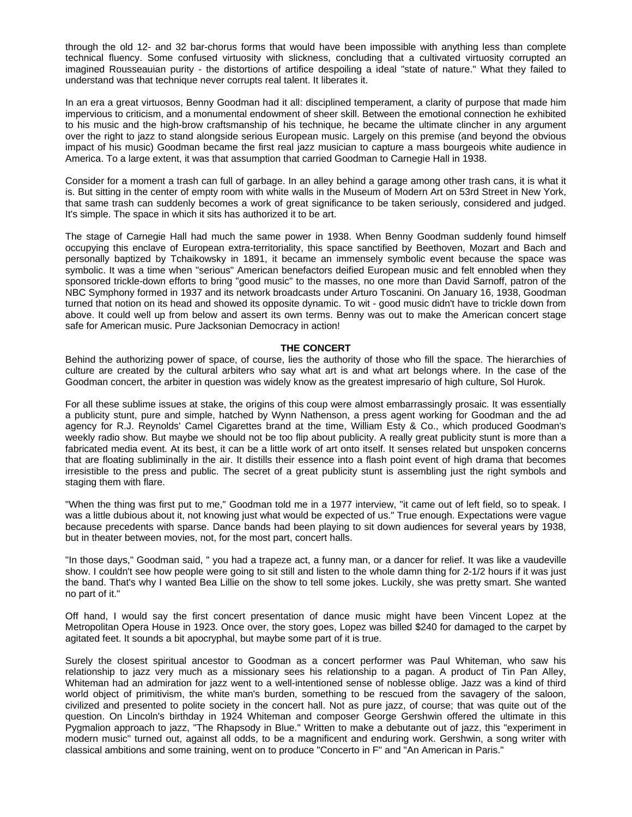through the old 12- and 32 bar-chorus forms that would have been impossible with anything less than complete technical fluency. Some confused virtuosity with slickness, concluding that a cultivated virtuosity corrupted an imagined Rousseauian purity - the distortions of artifice despoiling a ideal "state of nature." What they failed to understand was that technique never corrupts real talent. It liberates it.

In an era a great virtuosos, Benny Goodman had it all: disciplined temperament, a clarity of purpose that made him impervious to criticism, and a monumental endowment of sheer skill. Between the emotional connection he exhibited to his music and the high-brow craftsmanship of his technique, he became the ultimate clincher in any argument over the right to jazz to stand alongside serious European music. Largely on this premise (and beyond the obvious impact of his music) Goodman became the first real jazz musician to capture a mass bourgeois white audience in America. To a large extent, it was that assumption that carried Goodman to Carnegie Hall in 1938.

Consider for a moment a trash can full of garbage. In an alley behind a garage among other trash cans, it is what it is. But sitting in the center of empty room with white walls in the Museum of Modern Art on 53rd Street in New York, that same trash can suddenly becomes a work of great significance to be taken seriously, considered and judged. It's simple. The space in which it sits has authorized it to be art.

The stage of Carnegie Hall had much the same power in 1938. When Benny Goodman suddenly found himself occupying this enclave of European extra-territoriality, this space sanctified by Beethoven, Mozart and Bach and personally baptized by Tchaikowsky in 1891, it became an immensely symbolic event because the space was symbolic. It was a time when "serious" American benefactors deified European music and felt ennobled when they sponsored trickle-down efforts to bring "good music" to the masses, no one more than David Sarnoff, patron of the NBC Symphony formed in 1937 and its network broadcasts under Arturo Toscanini. On January 16, 1938, Goodman turned that notion on its head and showed its opposite dynamic. To wit - good music didn't have to trickle down from above. It could well up from below and assert its own terms. Benny was out to make the American concert stage safe for American music. Pure Jacksonian Democracy in action!

## **THE CONCERT**

Behind the authorizing power of space, of course, lies the authority of those who fill the space. The hierarchies of culture are created by the cultural arbiters who say what art is and what art belongs where. In the case of the Goodman concert, the arbiter in question was widely know as the greatest impresario of high culture, Sol Hurok.

For all these sublime issues at stake, the origins of this coup were almost embarrassingly prosaic. It was essentially a publicity stunt, pure and simple, hatched by Wynn Nathenson, a press agent working for Goodman and the ad agency for R.J. Reynolds' Camel Cigarettes brand at the time, William Esty & Co., which produced Goodman's weekly radio show. But maybe we should not be too flip about publicity. A really great publicity stunt is more than a fabricated media event. At its best, it can be a little work of art onto itself. It senses related but unspoken concerns that are floating subliminally in the air. It distills their essence into a flash point event of high drama that becomes irresistible to the press and public. The secret of a great publicity stunt is assembling just the right symbols and staging them with flare.

"When the thing was first put to me," Goodman told me in a 1977 interview, "it came out of left field, so to speak. I was a little dubious about it, not knowing just what would be expected of us." True enough. Expectations were vague because precedents with sparse. Dance bands had been playing to sit down audiences for several years by 1938, but in theater between movies, not, for the most part, concert halls.

"In those days," Goodman said, " you had a trapeze act, a funny man, or a dancer for relief. It was like a vaudeville show. I couldn't see how people were going to sit still and listen to the whole damn thing for 2-1/2 hours if it was just the band. That's why I wanted Bea Lillie on the show to tell some jokes. Luckily, she was pretty smart. She wanted no part of it."

Off hand, I would say the first concert presentation of dance music might have been Vincent Lopez at the Metropolitan Opera House in 1923. Once over, the story goes, Lopez was billed \$240 for damaged to the carpet by agitated feet. It sounds a bit apocryphal, but maybe some part of it is true.

Surely the closest spiritual ancestor to Goodman as a concert performer was Paul Whiteman, who saw his relationship to jazz very much as a missionary sees his relationship to a pagan. A product of Tin Pan Alley, Whiteman had an admiration for jazz went to a well-intentioned sense of noblesse oblige. Jazz was a kind of third world object of primitivism, the white man's burden, something to be rescued from the savagery of the saloon, civilized and presented to polite society in the concert hall. Not as pure jazz, of course; that was quite out of the question. On Lincoln's birthday in 1924 Whiteman and composer George Gershwin offered the ultimate in this Pygmalion approach to jazz, "The Rhapsody in Blue." Written to make a debutante out of jazz, this "experiment in modern music" turned out, against all odds, to be a magnificent and enduring work. Gershwin, a song writer with classical ambitions and some training, went on to produce "Concerto in F" and "An American in Paris."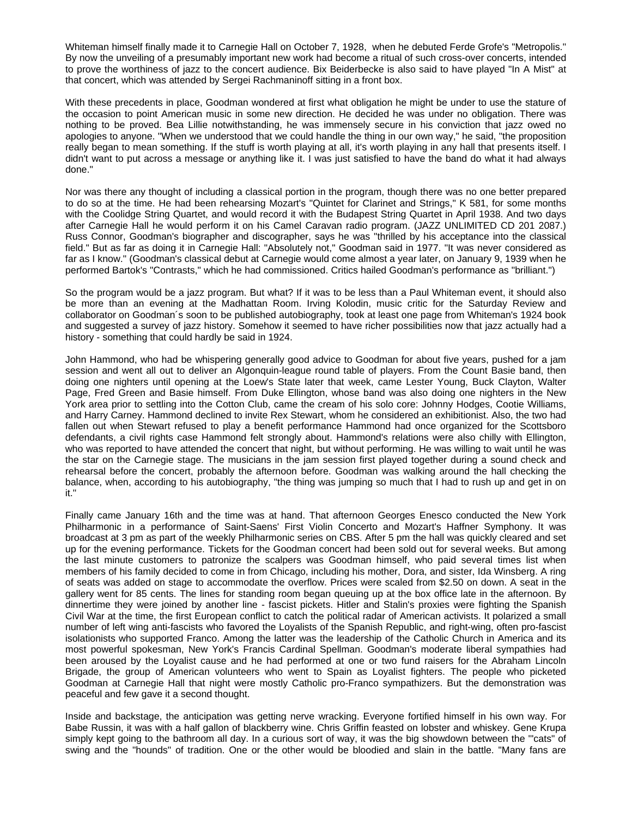Whiteman himself finally made it to Carnegie Hall on October 7, 1928, when he debuted Ferde Grofe's "Metropolis." By now the unveiling of a presumably important new work had become a ritual of such cross-over concerts, intended to prove the worthiness of jazz to the concert audience. Bix Beiderbecke is also said to have played "In A Mist" at that concert, which was attended by Sergei Rachmaninoff sitting in a front box.

With these precedents in place, Goodman wondered at first what obligation he might be under to use the stature of the occasion to point American music in some new direction. He decided he was under no obligation. There was nothing to be proved. Bea Lillie notwithstanding, he was immensely secure in his conviction that jazz owed no apologies to anyone. "When we understood that we could handle the thing in our own way," he said, "the proposition really began to mean something. If the stuff is worth playing at all, it's worth playing in any hall that presents itself. I didn't want to put across a message or anything like it. I was just satisfied to have the band do what it had always done."

Nor was there any thought of including a classical portion in the program, though there was no one better prepared to do so at the time. He had been rehearsing Mozart's "Quintet for Clarinet and Strings," K 581, for some months with the Coolidge String Quartet, and would record it with the Budapest String Quartet in April 1938. And two days after Carnegie Hall he would perform it on his Camel Caravan radio program. (JAZZ UNLIMITED CD 201 2087.) Russ Connor, Goodman's biographer and discographer, says he was "thrilled by his acceptance into the classical field." But as far as doing it in Carnegie Hall: "Absolutely not," Goodman said in 1977. "It was never considered as far as I know." (Goodman's classical debut at Carnegie would come almost a year later, on January 9, 1939 when he performed Bartok's "Contrasts," which he had commissioned. Critics hailed Goodman's performance as "brilliant.")

So the program would be a jazz program. But what? If it was to be less than a Paul Whiteman event, it should also be more than an evening at the Madhattan Room. Irving Kolodin, music critic for the Saturday Review and collaborator on Goodman´s soon to be published autobiography, took at least one page from Whiteman's 1924 book and suggested a survey of jazz history. Somehow it seemed to have richer possibilities now that jazz actually had a history - something that could hardly be said in 1924.

John Hammond, who had be whispering generally good advice to Goodman for about five years, pushed for a jam session and went all out to deliver an Algonquin-league round table of players. From the Count Basie band, then doing one nighters until opening at the Loew's State later that week, came Lester Young, Buck Clayton, Walter Page, Fred Green and Basie himself. From Duke Ellington, whose band was also doing one nighters in the New York area prior to settling into the Cotton Club, came the cream of his solo core: Johnny Hodges, Cootie Williams, and Harry Carney. Hammond declined to invite Rex Stewart, whom he considered an exhibitionist. Also, the two had fallen out when Stewart refused to play a benefit performance Hammond had once organized for the Scottsboro defendants, a civil rights case Hammond felt strongly about. Hammond's relations were also chilly with Ellington, who was reported to have attended the concert that night, but without performing. He was willing to wait until he was the star on the Carnegie stage. The musicians in the jam session first played together during a sound check and rehearsal before the concert, probably the afternoon before. Goodman was walking around the hall checking the balance, when, according to his autobiography, "the thing was jumping so much that I had to rush up and get in on it."

Finally came January 16th and the time was at hand. That afternoon Georges Enesco conducted the New York Philharmonic in a performance of Saint-Saens' First Violin Concerto and Mozart's Haffner Symphony. It was broadcast at 3 pm as part of the weekly Philharmonic series on CBS. After 5 pm the hall was quickly cleared and set up for the evening performance. Tickets for the Goodman concert had been sold out for several weeks. But among the last minute customers to patronize the scalpers was Goodman himself, who paid several times list when members of his family decided to come in from Chicago, including his mother, Dora, and sister, Ida Winsberg. A ring of seats was added on stage to accommodate the overflow. Prices were scaled from \$2.50 on down. A seat in the gallery went for 85 cents. The lines for standing room began queuing up at the box office late in the afternoon. By dinnertime they were joined by another line - fascist pickets. Hitler and Stalin's proxies were fighting the Spanish Civil War at the time, the first European conflict to catch the political radar of American activists. It polarized a small number of left wing anti-fascists who favored the Loyalists of the Spanish Republic, and right-wing, often pro-fascist isolationists who supported Franco. Among the latter was the leadership of the Catholic Church in America and its most powerful spokesman, New York's Francis Cardinal Spellman. Goodman's moderate liberal sympathies had been aroused by the Loyalist cause and he had performed at one or two fund raisers for the Abraham Lincoln Brigade, the group of American volunteers who went to Spain as Loyalist fighters. The people who picketed Goodman at Carnegie Hall that night were mostly Catholic pro-Franco sympathizers. But the demonstration was peaceful and few gave it a second thought.

Inside and backstage, the anticipation was getting nerve wracking. Everyone fortified himself in his own way. For Babe Russin, it was with a half gallon of blackberry wine. Chris Griffin feasted on lobster and whiskey. Gene Krupa simply kept going to the bathroom all day. In a curious sort of way, it was the big showdown between the '"cats" of swing and the "hounds" of tradition. One or the other would be bloodied and slain in the battle. "Many fans are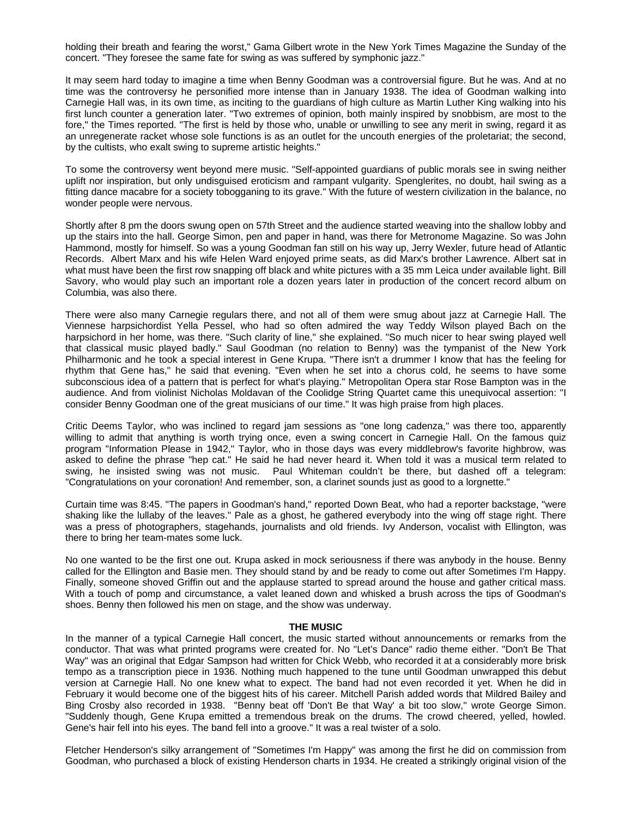holding their breath and fearing the worst," Gama Gilbert wrote in the New York Times Magazine the Sunday of the concert. "They foresee the same fate for swing as was suffered by symphonic jazz."

It may seem hard today to imagine a time when Benny Goodman was a controversial figure. But he was. And at no time was the controversy he personified more intense than in January 1938. The idea of Goodman walking into Carnegie Hall was, in its own time, as inciting to the guardians of high culture as Martin Luther King walking into his first lunch counter a generation later. "Two extremes of opinion, both mainly inspired by snobbism, are most to the fore," the Times reported. "The first is held by those who, unable or unwilling to see any merit in swing, regard it as an unregenerate racket whose sole functions is as an outlet for the uncouth energies of the proletariat; the second, by the cultists, who exalt swing to supreme artistic heights."

To some the controversy went beyond mere music. "Self-appointed guardians of public morals see in swing neither uplift nor inspiration, but only undisguised eroticism and rampant vulgarity. Spenglerites, no doubt, hail swing as a fitting dance macabre for a society tobogganing to its grave." With the future of western civilization in the balance, no wonder people were nervous.

Shortly after 8 pm the doors swung open on 57th Street and the audience started weaving into the shallow lobby and up the stairs into the hall. George Simon, pen and paper in hand, was there for Metronome Magazine. So was John Hammond, mostly for himself. So was a young Goodman fan still on his way up, Jerry Wexler, future head of Atlantic Records. Albert Marx and his wife Helen Ward enjoyed prime seats, as did Marx's brother Lawrence. Albert sat in what must have been the first row snapping off black and white pictures with a 35 mm Leica under available light. Bill Savory, who would play such an important role a dozen years later in production of the concert record album on Columbia, was also there.

There were also many Carnegie regulars there, and not all of them were smug about jazz at Carnegie Hall. The Viennese harpsichordist Yella Pessel, who had so often admired the way Teddy Wilson played Bach on the harpsichord in her home, was there. "Such clarity of line," she explained. "So much nicer to hear swing played well that classical music played badly." Saul Goodman (no relation to Benny) was the tympanist of the New York Philharmonic and he took a special interest in Gene Krupa. "There isn't a drummer I know that has the feeling for rhythm that Gene has," he said that evening. "Even when he set into a chorus cold, he seems to have some subconscious idea of a pattern that is perfect for what's playing." Metropolitan Opera star Rose Bampton was in the audience. And from violinist Nicholas Moldavan of the Coolidge String Quartet came this unequivocal assertion: "I consider Benny Goodman one of the great musicians of our time." It was high praise from high places.

Critic Deems Taylor, who was inclined to regard jam sessions as "one long cadenza," was there too, apparently willing to admit that anything is worth trying once, even a swing concert in Carnegie Hall. On the famous quiz program "Information Please in 1942," Taylor, who in those days was every middlebrow's favorite highbrow, was asked to define the phrase "hep cat." He said he had never heard it. When told it was a musical term related to swing, he insisted swing was not music. Paul Whiteman couldn't be there, but dashed off a telegram: "Congratulations on your coronation! And remember, son, a clarinet sounds just as good to a lorgnette."

Curtain time was 8:45. "The papers in Goodman's hand," reported Down Beat, who had a reporter backstage, "were shaking like the lullaby of the leaves." Pale as a ghost, he gathered everybody into the wing off stage right. There was a press of photographers, stagehands, journalists and old friends. Ivy Anderson, vocalist with Ellington, was there to bring her team-mates some luck.

No one wanted to be the first one out. Krupa asked in mock seriousness if there was anybody in the house. Benny called for the Ellington and Basie men. They should stand by and be ready to come out after Sometimes I'm Happy. Finally, someone shoved Griffin out and the applause started to spread around the house and gather critical mass. With a touch of pomp and circumstance, a valet leaned down and whisked a brush across the tips of Goodman's shoes. Benny then followed his men on stage, and the show was underway.

#### **THE MUSIC**

In the manner of a typical Carnegie Hall concert, the music started without announcements or remarks from the conductor. That was what printed programs were created for. No "Let's Dance" radio theme either. "Don't Be That Way" was an original that Edgar Sampson had written for Chick Webb, who recorded it at a considerably more brisk tempo as a transcription piece in 1936. Nothing much happened to the tune until Goodman unwrapped this debut version at Carnegie Hall. No one knew what to expect. The band had not even recorded it yet. When he did in February it would become one of the biggest hits of his career. Mitchell Parish added words that Mildred Bailey and Bing Crosby also recorded in 1938. "Benny beat off 'Don't Be that Way' a bit too slow," wrote George Simon. "Suddenly though, Gene Krupa emitted a tremendous break on the drums. The crowd cheered, yelled, howled. Gene's hair fell into his eyes. The band fell into a groove." It was a real twister of a solo.

Fletcher Henderson's silky arrangement of "Sometimes I'm Happy" was among the first he did on commission from Goodman, who purchased a block of existing Henderson charts in 1934. He created a strikingly original vision of the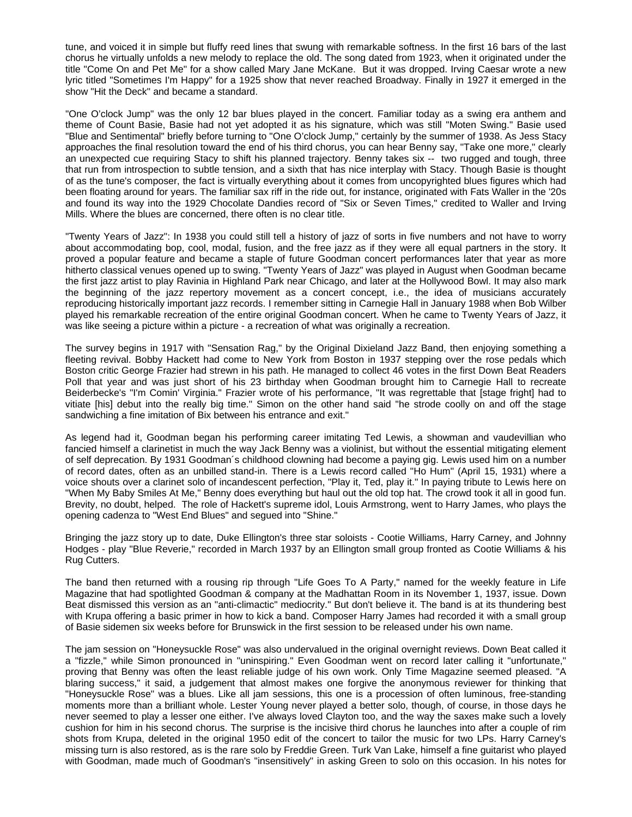tune, and voiced it in simple but fluffy reed lines that swung with remarkable softness. In the first 16 bars of the last chorus he virtually unfolds a new melody to replace the old. The song dated from 1923, when it originated under the title "Come On and Pet Me" for a show called Mary Jane McKane. But it was dropped. Irving Caesar wrote a new lyric titled "Sometimes I'm Happy" for a 1925 show that never reached Broadway. Finally in 1927 it emerged in the show "Hit the Deck" and became a standard.

"One O'clock Jump" was the only 12 bar blues played in the concert. Familiar today as a swing era anthem and theme of Count Basie, Basie had not yet adopted it as his signature, which was still "Moten Swing." Basie used "Blue and Sentimental" briefly before turning to "One O'clock Jump," certainly by the summer of 1938. As Jess Stacy approaches the final resolution toward the end of his third chorus, you can hear Benny say, "Take one more," clearly an unexpected cue requiring Stacy to shift his planned trajectory. Benny takes six -- two rugged and tough, three that run from introspection to subtle tension, and a sixth that has nice interplay with Stacy. Though Basie is thought of as the tune's composer, the fact is virtually everything about it comes from uncopyrighted blues figures which had been floating around for years. The familiar sax riff in the ride out, for instance, originated with Fats Waller in the '20s and found its way into the 1929 Chocolate Dandies record of "Six or Seven Times," credited to Waller and Irving Mills. Where the blues are concerned, there often is no clear title.

"Twenty Years of Jazz": In 1938 you could still tell a history of jazz of sorts in five numbers and not have to worry about accommodating bop, cool, modal, fusion, and the free jazz as if they were all equal partners in the story. It proved a popular feature and became a staple of future Goodman concert performances later that year as more hitherto classical venues opened up to swing. "Twenty Years of Jazz" was played in August when Goodman became the first jazz artist to play Ravinia in Highland Park near Chicago, and later at the Hollywood Bowl. It may also mark the beginning of the jazz repertory movement as a concert concept, i.e., the idea of musicians accurately reproducing historically important jazz records. I remember sitting in Carnegie Hall in January 1988 when Bob Wilber played his remarkable recreation of the entire original Goodman concert. When he came to Twenty Years of Jazz, it was like seeing a picture within a picture - a recreation of what was originally a recreation.

The survey begins in 1917 with "Sensation Rag," by the Original Dixieland Jazz Band, then enjoying something a fleeting revival. Bobby Hackett had come to New York from Boston in 1937 stepping over the rose pedals which Boston critic George Frazier had strewn in his path. He managed to collect 46 votes in the first Down Beat Readers Poll that year and was just short of his 23 birthday when Goodman brought him to Carnegie Hall to recreate Beiderbecke's "I'm Comin' Virginia." Frazier wrote of his performance, "It was regrettable that [stage fright] had to vitiate [his] debut into the really big time." Simon on the other hand said "he strode coolly on and off the stage sandwiching a fine imitation of Bix between his entrance and exit."

As legend had it, Goodman began his performing career imitating Ted Lewis, a showman and vaudevillian who fancied himself a clarinetist in much the way Jack Benny was a violinist, but without the essential mitigating element of self deprecation. By 1931 Goodman´s childhood clowning had become a paying gig. Lewis used him on a number of record dates, often as an unbilled stand-in. There is a Lewis record called "Ho Hum" (April 15, 1931) where a voice shouts over a clarinet solo of incandescent perfection, "Play it, Ted, play it." In paying tribute to Lewis here on "When My Baby Smiles At Me," Benny does everything but haul out the old top hat. The crowd took it all in good fun. Brevity, no doubt, helped. The role of Hackett's supreme idol, Louis Armstrong, went to Harry James, who plays the opening cadenza to "West End Blues" and segued into "Shine."

Bringing the jazz story up to date, Duke Ellington's three star soloists - Cootie Williams, Harry Carney, and Johnny Hodges - play "Blue Reverie," recorded in March 1937 by an Ellington small group fronted as Cootie Williams & his Rug Cutters.

The band then returned with a rousing rip through "Life Goes To A Party," named for the weekly feature in Life Magazine that had spotlighted Goodman & company at the Madhattan Room in its November 1, 1937, issue. Down Beat dismissed this version as an "anti-climactic" mediocrity." But don't believe it. The band is at its thundering best with Krupa offering a basic primer in how to kick a band. Composer Harry James had recorded it with a small group of Basie sidemen six weeks before for Brunswick in the first session to be released under his own name.

The jam session on "Honeysuckle Rose" was also undervalued in the original overnight reviews. Down Beat called it a "fizzle," while Simon pronounced in "uninspiring." Even Goodman went on record later calling it "unfortunate," proving that Benny was often the least reliable judge of his own work. Only Time Magazine seemed pleased. "A blaring success," it said, a judgement that almost makes one forgive the anonymous reviewer for thinking that "Honeysuckle Rose" was a blues. Like all jam sessions, this one is a procession of often luminous, free-standing moments more than a brilliant whole. Lester Young never played a better solo, though, of course, in those days he never seemed to play a lesser one either. I've always loved Clayton too, and the way the saxes make such a lovely cushion for him in his second chorus. The surprise is the incisive third chorus he launches into after a couple of rim shots from Krupa, deleted in the original 1950 edit of the concert to tailor the music for two LPs. Harry Carney's missing turn is also restored, as is the rare solo by Freddie Green. Turk Van Lake, himself a fine guitarist who played with Goodman, made much of Goodman's "insensitively" in asking Green to solo on this occasion. In his notes for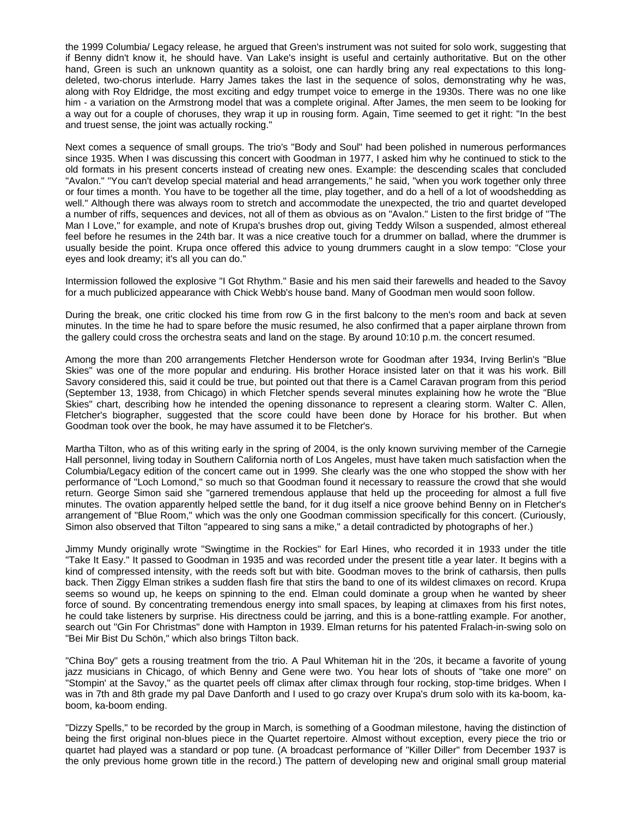the 1999 Columbia/ Legacy release, he argued that Green's instrument was not suited for solo work, suggesting that if Benny didn't know it, he should have. Van Lake's insight is useful and certainly authoritative. But on the other hand, Green is such an unknown quantity as a soloist, one can hardly bring any real expectations to this longdeleted, two-chorus interlude. Harry James takes the last in the sequence of solos, demonstrating why he was, along with Roy Eldridge, the most exciting and edgy trumpet voice to emerge in the 1930s. There was no one like him - a variation on the Armstrong model that was a complete original. After James, the men seem to be looking for a way out for a couple of choruses, they wrap it up in rousing form. Again, Time seemed to get it right: "In the best and truest sense, the joint was actually rocking."

Next comes a sequence of small groups. The trio's "Body and Soul" had been polished in numerous performances since 1935. When I was discussing this concert with Goodman in 1977, I asked him why he continued to stick to the old formats in his present concerts instead of creating new ones. Example: the descending scales that concluded "Avalon." "You can't develop special material and head arrangements," he said, "when you work together only three or four times a month. You have to be together all the time, play together, and do a hell of a lot of woodshedding as well." Although there was always room to stretch and accommodate the unexpected, the trio and quartet developed a number of riffs, sequences and devices, not all of them as obvious as on "Avalon." Listen to the first bridge of "The Man I Love," for example, and note of Krupa's brushes drop out, giving Teddy Wilson a suspended, almost ethereal feel before he resumes in the 24th bar. It was a nice creative touch for a drummer on ballad, where the drummer is usually beside the point. Krupa once offered this advice to young drummers caught in a slow tempo: "Close your eyes and look dreamy; it's all you can do."

Intermission followed the explosive "I Got Rhythm." Basie and his men said their farewells and headed to the Savoy for a much publicized appearance with Chick Webb's house band. Many of Goodman men would soon follow.

During the break, one critic clocked his time from row G in the first balcony to the men's room and back at seven minutes. In the time he had to spare before the music resumed, he also confirmed that a paper airplane thrown from the gallery could cross the orchestra seats and land on the stage. By around 10:10 p.m. the concert resumed.

Among the more than 200 arrangements Fletcher Henderson wrote for Goodman after 1934, Irving Berlin's "Blue Skies" was one of the more popular and enduring. His brother Horace insisted later on that it was his work. Bill Savory considered this, said it could be true, but pointed out that there is a Camel Caravan program from this period (September 13, 1938, from Chicago) in which Fletcher spends several minutes explaining how he wrote the "Blue Skies" chart, describing how he intended the opening dissonance to represent a clearing storm. Walter C. Allen, Fletcher's biographer, suggested that the score could have been done by Horace for his brother. But when Goodman took over the book, he may have assumed it to be Fletcher's.

Martha Tilton, who as of this writing early in the spring of 2004, is the only known surviving member of the Carnegie Hall personnel, living today in Southern California north of Los Angeles, must have taken much satisfaction when the Columbia/Legacy edition of the concert came out in 1999. She clearly was the one who stopped the show with her performance of "Loch Lomond," so much so that Goodman found it necessary to reassure the crowd that she would return. George Simon said she "garnered tremendous applause that held up the proceeding for almost a full five minutes. The ovation apparently helped settle the band, for it dug itself a nice groove behind Benny on in Fletcher's arrangement of "Blue Room," which was the only one Goodman commission specifically for this concert. (Curiously, Simon also observed that Tilton "appeared to sing sans a mike," a detail contradicted by photographs of her.)

Jimmy Mundy originally wrote "Swingtime in the Rockies" for Earl Hines, who recorded it in 1933 under the title "Take It Easy." It passed to Goodman in 1935 and was recorded under the present title a year later. It begins with a kind of compressed intensity, with the reeds soft but with bite. Goodman moves to the brink of catharsis, then pulls back. Then Ziggy Elman strikes a sudden flash fire that stirs the band to one of its wildest climaxes on record. Krupa seems so wound up, he keeps on spinning to the end. Elman could dominate a group when he wanted by sheer force of sound. By concentrating tremendous energy into small spaces, by leaping at climaxes from his first notes, he could take listeners by surprise. His directness could be jarring, and this is a bone-rattling example. For another, search out "Gin For Christmas" done with Hampton in 1939. Elman returns for his patented Fralach-in-swing solo on "Bei Mir Bist Du Schön," which also brings Tilton back.

"China Boy" gets a rousing treatment from the trio. A Paul Whiteman hit in the '20s, it became a favorite of young jazz musicians in Chicago, of which Benny and Gene were two. You hear lots of shouts of "take one more" on "Stompin' at the Savoy," as the quartet peels off climax after climax through four rocking, stop-time bridges. When I was in 7th and 8th grade my pal Dave Danforth and I used to go crazy over Krupa's drum solo with its ka-boom, kaboom, ka-boom ending.

"Dizzy Spells," to be recorded by the group in March, is something of a Goodman milestone, having the distinction of being the first original non-blues piece in the Quartet repertoire. Almost without exception, every piece the trio or quartet had played was a standard or pop tune. (A broadcast performance of "Killer Diller" from December 1937 is the only previous home grown title in the record.) The pattern of developing new and original small group material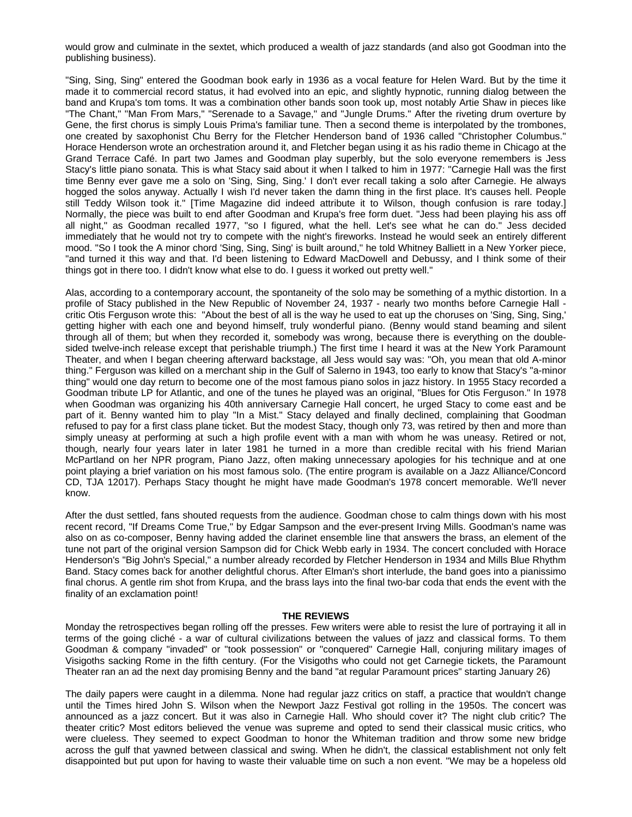would grow and culminate in the sextet, which produced a wealth of jazz standards (and also got Goodman into the publishing business).

"Sing, Sing, Sing" entered the Goodman book early in 1936 as a vocal feature for Helen Ward. But by the time it made it to commercial record status, it had evolved into an epic, and slightly hypnotic, running dialog between the band and Krupa's tom toms. It was a combination other bands soon took up, most notably Artie Shaw in pieces like "The Chant," "Man From Mars," "Serenade to a Savage," and "Jungle Drums." After the riveting drum overture by Gene, the first chorus is simply Louis Prima's familiar tune. Then a second theme is interpolated by the trombones, one created by saxophonist Chu Berry for the Fletcher Henderson band of 1936 called "Christopher Columbus." Horace Henderson wrote an orchestration around it, and Fletcher began using it as his radio theme in Chicago at the Grand Terrace Café. In part two James and Goodman play superbly, but the solo everyone remembers is Jess Stacy's little piano sonata. This is what Stacy said about it when I talked to him in 1977: "Carnegie Hall was the first time Benny ever gave me a solo on 'Sing, Sing, Sing.' I don't ever recall taking a solo after Carnegie. He always hogged the solos anyway. Actually I wish I'd never taken the damn thing in the first place. It's causes hell. People still Teddy Wilson took it." [Time Magazine did indeed attribute it to Wilson, though confusion is rare today.] Normally, the piece was built to end after Goodman and Krupa's free form duet. "Jess had been playing his ass off all night," as Goodman recalled 1977, "so I figured, what the hell. Let's see what he can do." Jess decided immediately that he would not try to compete with the night's fireworks. Instead he would seek an entirely different mood. "So I took the A minor chord 'Sing, Sing, Sing' is built around," he told Whitney Balliett in a New Yorker piece, "and turned it this way and that. I'd been listening to Edward MacDowell and Debussy, and I think some of their things got in there too. I didn't know what else to do. I guess it worked out pretty well."

Alas, according to a contemporary account, the spontaneity of the solo may be something of a mythic distortion. In a profile of Stacy published in the New Republic of November 24, 1937 - nearly two months before Carnegie Hall critic Otis Ferguson wrote this: "About the best of all is the way he used to eat up the choruses on 'Sing, Sing, Sing,' getting higher with each one and beyond himself, truly wonderful piano. (Benny would stand beaming and silent through all of them; but when they recorded it, somebody was wrong, because there is everything on the doublesided twelve-inch release except that perishable triumph.) The first time I heard it was at the New York Paramount Theater, and when I began cheering afterward backstage, all Jess would say was: "Oh, you mean that old A-minor thing." Ferguson was killed on a merchant ship in the Gulf of Salerno in 1943, too early to know that Stacy's "a-minor thing" would one day return to become one of the most famous piano solos in jazz history. In 1955 Stacy recorded a Goodman tribute LP for Atlantic, and one of the tunes he played was an original, "Blues for Otis Ferguson." In 1978 when Goodman was organizing his 40th anniversary Carnegie Hall concert, he urged Stacy to come east and be part of it. Benny wanted him to play "In a Mist." Stacy delayed and finally declined, complaining that Goodman refused to pay for a first class plane ticket. But the modest Stacy, though only 73, was retired by then and more than simply uneasy at performing at such a high profile event with a man with whom he was uneasy. Retired or not, though, nearly four years later in later 1981 he turned in a more than credible recital with his friend Marian McPartland on her NPR program, Piano Jazz, often making unnecessary apologies for his technique and at one point playing a brief variation on his most famous solo. (The entire program is available on a Jazz Alliance/Concord CD, TJA 12017). Perhaps Stacy thought he might have made Goodman's 1978 concert memorable. We'll never know.

After the dust settled, fans shouted requests from the audience. Goodman chose to calm things down with his most recent record, "If Dreams Come True," by Edgar Sampson and the ever-present Irving Mills. Goodman's name was also on as co-composer, Benny having added the clarinet ensemble line that answers the brass, an element of the tune not part of the original version Sampson did for Chick Webb early in 1934. The concert concluded with Horace Henderson's "Big John's Special," a number already recorded by Fletcher Henderson in 1934 and Mills Blue Rhythm Band. Stacy comes back for another delightful chorus. After Elman's short interlude, the band goes into a pianissimo final chorus. A gentle rim shot from Krupa, and the brass lays into the final two-bar coda that ends the event with the finality of an exclamation point!

#### **THE REVIEWS**

Monday the retrospectives began rolling off the presses. Few writers were able to resist the lure of portraying it all in terms of the going cliché - a war of cultural civilizations between the values of jazz and classical forms. To them Goodman & company "invaded" or "took possession" or "conquered" Carnegie Hall, conjuring military images of Visigoths sacking Rome in the fifth century. (For the Visigoths who could not get Carnegie tickets, the Paramount Theater ran an ad the next day promising Benny and the band "at regular Paramount prices" starting January 26)

The daily papers were caught in a dilemma. None had regular jazz critics on staff, a practice that wouldn't change until the Times hired John S. Wilson when the Newport Jazz Festival got rolling in the 1950s. The concert was announced as a jazz concert. But it was also in Carnegie Hall. Who should cover it? The night club critic? The theater critic? Most editors believed the venue was supreme and opted to send their classical music critics, who were clueless. They seemed to expect Goodman to honor the Whiteman tradition and throw some new bridge across the gulf that yawned between classical and swing. When he didn't, the classical establishment not only felt disappointed but put upon for having to waste their valuable time on such a non event. "We may be a hopeless old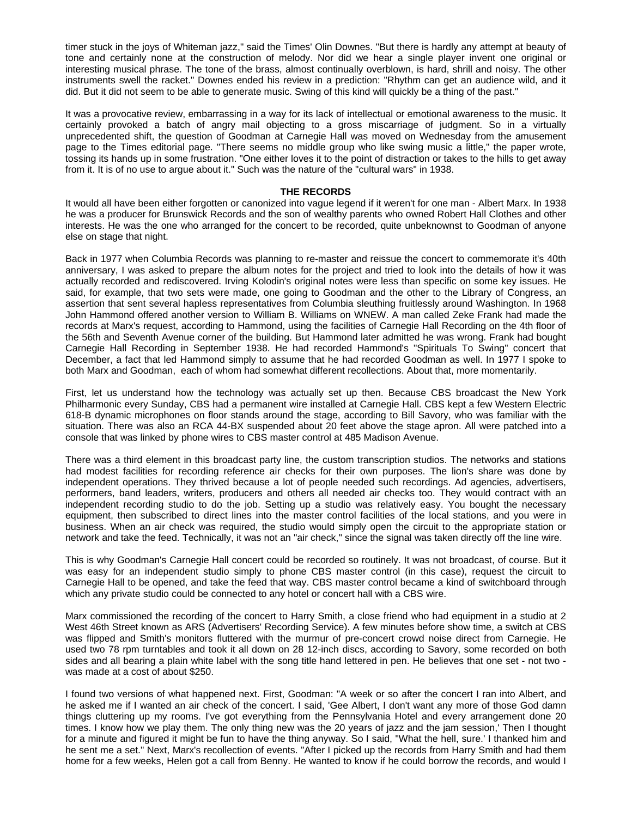timer stuck in the joys of Whiteman jazz," said the Times' Olin Downes. "But there is hardly any attempt at beauty of tone and certainly none at the construction of melody. Nor did we hear a single player invent one original or interesting musical phrase. The tone of the brass, almost continually overblown, is hard, shrill and noisy. The other instruments swell the racket." Downes ended his review in a prediction: "Rhythm can get an audience wild, and it did. But it did not seem to be able to generate music. Swing of this kind will quickly be a thing of the past."

It was a provocative review, embarrassing in a way for its lack of intellectual or emotional awareness to the music. It certainly provoked a batch of angry mail objecting to a gross miscarriage of judgment. So in a virtually unprecedented shift, the question of Goodman at Carnegie Hall was moved on Wednesday from the amusement page to the Times editorial page. "There seems no middle group who like swing music a little," the paper wrote, tossing its hands up in some frustration. "One either loves it to the point of distraction or takes to the hills to get away from it. It is of no use to argue about it." Such was the nature of the "cultural wars" in 1938.

## **THE RECORDS**

It would all have been either forgotten or canonized into vague legend if it weren't for one man - Albert Marx. In 1938 he was a producer for Brunswick Records and the son of wealthy parents who owned Robert Hall Clothes and other interests. He was the one who arranged for the concert to be recorded, quite unbeknownst to Goodman of anyone else on stage that night.

Back in 1977 when Columbia Records was planning to re-master and reissue the concert to commemorate it's 40th anniversary, I was asked to prepare the album notes for the project and tried to look into the details of how it was actually recorded and rediscovered. Irving Kolodin's original notes were less than specific on some key issues. He said, for example, that two sets were made, one going to Goodman and the other to the Library of Congress, an assertion that sent several hapless representatives from Columbia sleuthing fruitlessly around Washington. In 1968 John Hammond offered another version to William B. Williams on WNEW. A man called Zeke Frank had made the records at Marx's request, according to Hammond, using the facilities of Carnegie Hall Recording on the 4th floor of the 56th and Seventh Avenue corner of the building. But Hammond later admitted he was wrong. Frank had bought Carnegie Hall Recording in September 1938. He had recorded Hammond's "Spirituals To Swing" concert that December, a fact that led Hammond simply to assume that he had recorded Goodman as well. In 1977 I spoke to both Marx and Goodman, each of whom had somewhat different recollections. About that, more momentarily.

First, let us understand how the technology was actually set up then. Because CBS broadcast the New York Philharmonic every Sunday, CBS had a permanent wire installed at Carnegie Hall. CBS kept a few Western Electric 618-B dynamic microphones on floor stands around the stage, according to Bill Savory, who was familiar with the situation. There was also an RCA 44-BX suspended about 20 feet above the stage apron. All were patched into a console that was linked by phone wires to CBS master control at 485 Madison Avenue.

There was a third element in this broadcast party line, the custom transcription studios. The networks and stations had modest facilities for recording reference air checks for their own purposes. The lion's share was done by independent operations. They thrived because a lot of people needed such recordings. Ad agencies, advertisers, performers, band leaders, writers, producers and others all needed air checks too. They would contract with an independent recording studio to do the job. Setting up a studio was relatively easy. You bought the necessary equipment, then subscribed to direct lines into the master control facilities of the local stations, and you were in business. When an air check was required, the studio would simply open the circuit to the appropriate station or network and take the feed. Technically, it was not an "air check," since the signal was taken directly off the line wire.

This is why Goodman's Carnegie Hall concert could be recorded so routinely. It was not broadcast, of course. But it was easy for an independent studio simply to phone CBS master control (in this case), request the circuit to Carnegie Hall to be opened, and take the feed that way. CBS master control became a kind of switchboard through which any private studio could be connected to any hotel or concert hall with a CBS wire.

Marx commissioned the recording of the concert to Harry Smith, a close friend who had equipment in a studio at 2 West 46th Street known as ARS (Advertisers' Recording Service). A few minutes before show time, a switch at CBS was flipped and Smith's monitors fluttered with the murmur of pre-concert crowd noise direct from Carnegie. He used two 78 rpm turntables and took it all down on 28 12-inch discs, according to Savory, some recorded on both sides and all bearing a plain white label with the song title hand lettered in pen. He believes that one set - not two was made at a cost of about \$250.

I found two versions of what happened next. First, Goodman: "A week or so after the concert I ran into Albert, and he asked me if I wanted an air check of the concert. I said, 'Gee Albert, I don't want any more of those God damn things cluttering up my rooms. I've got everything from the Pennsylvania Hotel and every arrangement done 20 times. I know how we play them. The only thing new was the 20 years of jazz and the jam session,' Then I thought for a minute and figured it might be fun to have the thing anyway. So I said, "What the hell, sure.' I thanked him and he sent me a set." Next, Marx's recollection of events. "After I picked up the records from Harry Smith and had them home for a few weeks, Helen got a call from Benny. He wanted to know if he could borrow the records, and would I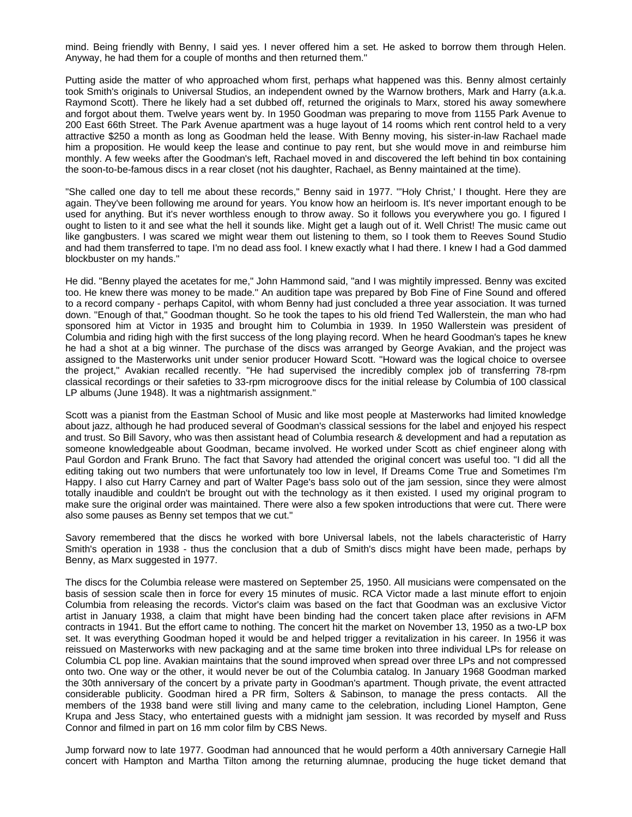mind. Being friendly with Benny, I said yes. I never offered him a set. He asked to borrow them through Helen. Anyway, he had them for a couple of months and then returned them."

Putting aside the matter of who approached whom first, perhaps what happened was this. Benny almost certainly took Smith's originals to Universal Studios, an independent owned by the Warnow brothers, Mark and Harry (a.k.a. Raymond Scott). There he likely had a set dubbed off, returned the originals to Marx, stored his away somewhere and forgot about them. Twelve years went by. In 1950 Goodman was preparing to move from 1155 Park Avenue to 200 East 66th Street. The Park Avenue apartment was a huge layout of 14 rooms which rent control held to a very attractive \$250 a month as long as Goodman held the lease. With Benny moving, his sister-in-law Rachael made him a proposition. He would keep the lease and continue to pay rent, but she would move in and reimburse him monthly. A few weeks after the Goodman's left, Rachael moved in and discovered the left behind tin box containing the soon-to-be-famous discs in a rear closet (not his daughter, Rachael, as Benny maintained at the time).

"She called one day to tell me about these records," Benny said in 1977. "'Holy Christ,' I thought. Here they are again. They've been following me around for years. You know how an heirloom is. It's never important enough to be used for anything. But it's never worthless enough to throw away. So it follows you everywhere you go. I figured I ought to listen to it and see what the hell it sounds like. Might get a laugh out of it. Well Christ! The music came out like gangbusters. I was scared we might wear them out listening to them, so I took them to Reeves Sound Studio and had them transferred to tape. I'm no dead ass fool. I knew exactly what I had there. I knew I had a God dammed blockbuster on my hands."

He did. "Benny played the acetates for me," John Hammond said, "and I was mightily impressed. Benny was excited too. He knew there was money to be made." An audition tape was prepared by Bob Fine of Fine Sound and offered to a record company - perhaps Capitol, with whom Benny had just concluded a three year association. It was turned down. "Enough of that," Goodman thought. So he took the tapes to his old friend Ted Wallerstein, the man who had sponsored him at Victor in 1935 and brought him to Columbia in 1939. In 1950 Wallerstein was president of Columbia and riding high with the first success of the long playing record. When he heard Goodman's tapes he knew he had a shot at a big winner. The purchase of the discs was arranged by George Avakian, and the project was assigned to the Masterworks unit under senior producer Howard Scott. "Howard was the logical choice to oversee the project," Avakian recalled recently. "He had supervised the incredibly complex job of transferring 78-rpm classical recordings or their safeties to 33-rpm microgroove discs for the initial release by Columbia of 100 classical LP albums (June 1948). It was a nightmarish assignment."

Scott was a pianist from the Eastman School of Music and like most people at Masterworks had limited knowledge about jazz, although he had produced several of Goodman's classical sessions for the label and enjoyed his respect and trust. So Bill Savory, who was then assistant head of Columbia research & development and had a reputation as someone knowledgeable about Goodman, became involved. He worked under Scott as chief engineer along with Paul Gordon and Frank Bruno. The fact that Savory had attended the original concert was useful too. "I did all the editing taking out two numbers that were unfortunately too low in level, If Dreams Come True and Sometimes I'm Happy. I also cut Harry Carney and part of Walter Page's bass solo out of the jam session, since they were almost totally inaudible and couldn't be brought out with the technology as it then existed. I used my original program to make sure the original order was maintained. There were also a few spoken introductions that were cut. There were also some pauses as Benny set tempos that we cut."

Savory remembered that the discs he worked with bore Universal labels, not the labels characteristic of Harry Smith's operation in 1938 - thus the conclusion that a dub of Smith's discs might have been made, perhaps by Benny, as Marx suggested in 1977.

The discs for the Columbia release were mastered on September 25, 1950. All musicians were compensated on the basis of session scale then in force for every 15 minutes of music. RCA Victor made a last minute effort to enjoin Columbia from releasing the records. Victor's claim was based on the fact that Goodman was an exclusive Victor artist in January 1938, a claim that might have been binding had the concert taken place after revisions in AFM contracts in 1941. But the effort came to nothing. The concert hit the market on November 13, 1950 as a two-LP box set. It was everything Goodman hoped it would be and helped trigger a revitalization in his career. In 1956 it was reissued on Masterworks with new packaging and at the same time broken into three individual LPs for release on Columbia CL pop line. Avakian maintains that the sound improved when spread over three LPs and not compressed onto two. One way or the other, it would never be out of the Columbia catalog. In January 1968 Goodman marked the 30th anniversary of the concert by a private party in Goodman's apartment. Though private, the event attracted considerable publicity. Goodman hired a PR firm, Solters & Sabinson, to manage the press contacts. All the members of the 1938 band were still living and many came to the celebration, including Lionel Hampton, Gene Krupa and Jess Stacy, who entertained guests with a midnight jam session. It was recorded by myself and Russ Connor and filmed in part on 16 mm color film by CBS News.

Jump forward now to late 1977. Goodman had announced that he would perform a 40th anniversary Carnegie Hall concert with Hampton and Martha Tilton among the returning alumnae, producing the huge ticket demand that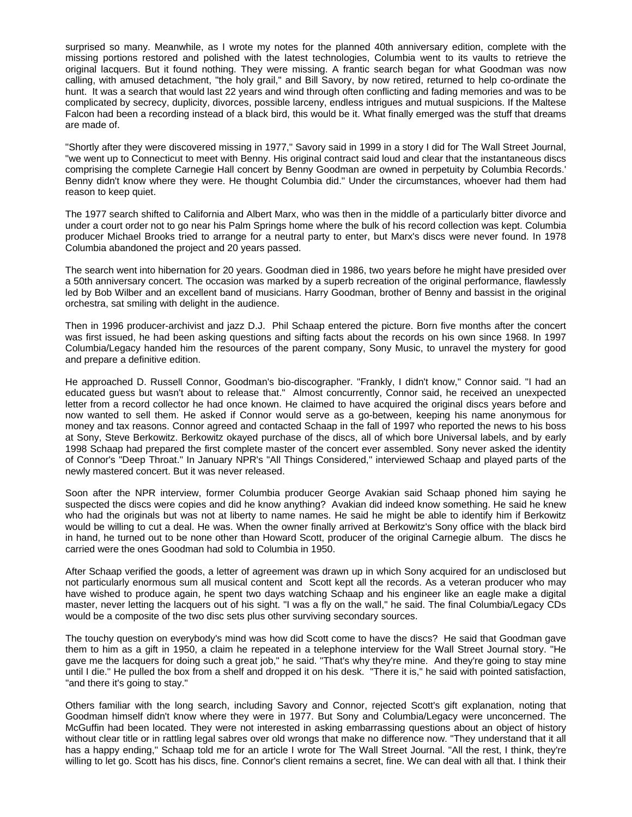surprised so many. Meanwhile, as I wrote my notes for the planned 40th anniversary edition, complete with the missing portions restored and polished with the latest technologies, Columbia went to its vaults to retrieve the original lacquers. But it found nothing. They were missing. A frantic search began for what Goodman was now calling, with amused detachment, "the holy grail," and Bill Savory, by now retired, returned to help co-ordinate the hunt. It was a search that would last 22 years and wind through often conflicting and fading memories and was to be complicated by secrecy, duplicity, divorces, possible larceny, endless intrigues and mutual suspicions. If the Maltese Falcon had been a recording instead of a black bird, this would be it. What finally emerged was the stuff that dreams are made of.

"Shortly after they were discovered missing in 1977," Savory said in 1999 in a story I did for The Wall Street Journal, "we went up to Connecticut to meet with Benny. His original contract said loud and clear that the instantaneous discs comprising the complete Carnegie Hall concert by Benny Goodman are owned in perpetuity by Columbia Records.' Benny didn't know where they were. He thought Columbia did." Under the circumstances, whoever had them had reason to keep quiet.

The 1977 search shifted to California and Albert Marx, who was then in the middle of a particularly bitter divorce and under a court order not to go near his Palm Springs home where the bulk of his record collection was kept. Columbia producer Michael Brooks tried to arrange for a neutral party to enter, but Marx's discs were never found. In 1978 Columbia abandoned the project and 20 years passed.

The search went into hibernation for 20 years. Goodman died in 1986, two years before he might have presided over a 50th anniversary concert. The occasion was marked by a superb recreation of the original performance, flawlessly led by Bob Wilber and an excellent band of musicians. Harry Goodman, brother of Benny and bassist in the original orchestra, sat smiling with delight in the audience.

Then in 1996 producer-archivist and jazz D.J. Phil Schaap entered the picture. Born five months after the concert was first issued, he had been asking questions and sifting facts about the records on his own since 1968. In 1997 Columbia/Legacy handed him the resources of the parent company, Sony Music, to unravel the mystery for good and prepare a definitive edition.

He approached D. Russell Connor, Goodman's bio-discographer. "Frankly, I didn't know," Connor said. "I had an educated guess but wasn't about to release that." Almost concurrently, Connor said, he received an unexpected letter from a record collector he had once known. He claimed to have acquired the original discs years before and now wanted to sell them. He asked if Connor would serve as a go-between, keeping his name anonymous for money and tax reasons. Connor agreed and contacted Schaap in the fall of 1997 who reported the news to his boss at Sony, Steve Berkowitz. Berkowitz okayed purchase of the discs, all of which bore Universal labels, and by early 1998 Schaap had prepared the first complete master of the concert ever assembled. Sony never asked the identity of Connor's "Deep Throat." In January NPR's "All Things Considered," interviewed Schaap and played parts of the newly mastered concert. But it was never released.

Soon after the NPR interview, former Columbia producer George Avakian said Schaap phoned him saying he suspected the discs were copies and did he know anything? Avakian did indeed know something. He said he knew who had the originals but was not at liberty to name names. He said he might be able to identify him if Berkowitz would be willing to cut a deal. He was. When the owner finally arrived at Berkowitz's Sony office with the black bird in hand, he turned out to be none other than Howard Scott, producer of the original Carnegie album. The discs he carried were the ones Goodman had sold to Columbia in 1950.

After Schaap verified the goods, a letter of agreement was drawn up in which Sony acquired for an undisclosed but not particularly enormous sum all musical content and Scott kept all the records. As a veteran producer who may have wished to produce again, he spent two days watching Schaap and his engineer like an eagle make a digital master, never letting the lacquers out of his sight. "I was a fly on the wall," he said. The final Columbia/Legacy CDs would be a composite of the two disc sets plus other surviving secondary sources.

The touchy question on everybody's mind was how did Scott come to have the discs? He said that Goodman gave them to him as a gift in 1950, a claim he repeated in a telephone interview for the Wall Street Journal story. "He gave me the lacquers for doing such a great job," he said. "That's why they're mine. And they're going to stay mine until I die." He pulled the box from a shelf and dropped it on his desk. "There it is," he said with pointed satisfaction, "and there it's going to stay."

Others familiar with the long search, including Savory and Connor, rejected Scott's gift explanation, noting that Goodman himself didn't know where they were in 1977. But Sony and Columbia/Legacy were unconcerned. The McGuffin had been located. They were not interested in asking embarrassing questions about an object of history without clear title or in rattling legal sabres over old wrongs that make no difference now. "They understand that it all has a happy ending," Schaap told me for an article I wrote for The Wall Street Journal. "All the rest, I think, they're willing to let go. Scott has his discs, fine. Connor's client remains a secret, fine. We can deal with all that. I think their